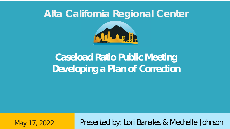## **Alta California Regional Center**



# **Caseload Ratio Public Meeting Developing a Plan of Correction**

May 17, 2022 Presented by: Lori Banales & Mechelle Johnson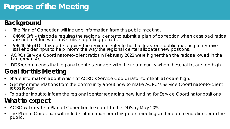## **Purpose of the Meeting**

### **Background**

- The Plan of Correction will include information from this public meeting.
- §4646.6(f) this code requires the regional center to submit a plan of correction when caseload ratios are not met for two consecutive reporting periods.
- §4646.6(g)(1) this code requires the regional enter to hold at least one public meeting to receive stakeholder input to help inform the way the regional center allocates new positions.
- ACRCs Service Coordinator-to-client ratios in February 2022 were higher than the ratios allowed in the Lanterman Act.
- DDS recommends that regional centers engage with their community when these ratios are too high.

### **Goal for this Meeting**

- Share information about which of ACRC's Service Coordinator-to-client ratios are high.
- Get recommendations from the community about how to make ACRC's Service Coordinator-to-client ratios lower.
- To gather input to inform the regional center regarding new funding for Service Coordinator positions. **What to expect**
- ACRC will create a Plan of Correction to submit to the DDS by May 20<sup>th</sup>.
- The Plan of Correction will include information from this public meeting and recommendations from the public.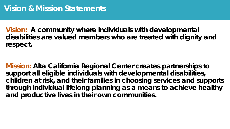**Vision: A community where individuals with developmental disabilities are valued members who are treated with dignity and respect.**

**Mission: Alta California Regional Center creates partnerships to support all eligible individuals with developmental disabilities, children at risk, and their families in choosing services and supports through individual lifelong planning as a means to achieve healthy and productive lives in their own communities.**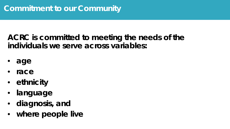**ACRC is committed to meeting the needs of the individuals we serve across variables:**

- **age**
- **race**
- **ethnicity**
- **language**
- **diagnosis, and**
- **where people live**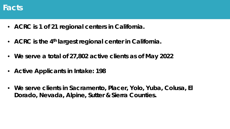

- **ACRC is 1 of 21 regional centers in California.**
- **ACRC is the 4th largest regional center in California.**
- **We serve a total of 27,802 active clients as of May 2022**
- **Active Applicants in Intake: 198**
- **We serve clients in Sacramento, Placer, Yolo, Yuba, Colusa, El Dorado, Nevada, Alpine, Sutter & Sierra Counties.**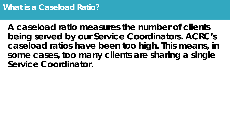**A caseload ratio measures the number of clients being served by our Service Coordinators. ACRC's caseload ratios have been too high. This means, in some cases, too many clients are sharing a single Service Coordinator.**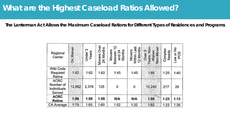### **What are the Highest Caseload Ratios Allowed?**

**The Lanterman Act Allows the Maximum Caseload Rations for Different Types of Residences and Programs**

| Regional<br>Center                                | On Waiver | ω<br>Years<br>Under | <b>Over</b><br>24 Months<br>Movers | 5<br>Movers<br>Months<br>Between<br>Ñ<br>and. | ast<br>12 Months<br>Movers<br>Within 1 | Non-Mover<br>ş<br>Waiver,<br>Over <sub>3</sub><br>Years, | Complex<br>Needs | Low or No<br>POS |
|---------------------------------------------------|-----------|---------------------|------------------------------------|-----------------------------------------------|----------------------------------------|----------------------------------------------------------|------------------|------------------|
| W&I Code<br>Required<br>Ratios                    | 1:62      | 1:62                | 1:62                               | 1:45                                          | 1:45                                   | 1:66                                                     | 1:25             | 1:40             |
| <b>ACRC</b><br>Number of<br>Individuals<br>Served | 13,982    | 2,376               | 125                                | 0                                             | 0                                      | 10,245                                                   | 217              | 26               |
| <b>ACRC</b><br><b>Ratios</b>                      | 1:86      | 1:55                | 1:55                               | N/A                                           | N/A                                    | 1:88                                                     | 1:23             | 1:13             |
| CA Average                                        | 1:79      | 1:65                | 1:60                               | 1:52                                          | 1:32                                   | 1:82                                                     | 1:23             | 1:38             |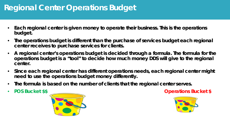### **Regional Center Operations Budget**

- **Each regional center is given money to operate their business. This is the operations budget.**
- **The operations budget is different than the purchase of services budget each regional center receives to purchase services for clients.**
- **A regional center's operations budget is decided through a formula. The formula for the operations budget is a "tool" to decide how much money DDS will give to the regional center.**
- **Since each regional center has different operations needs, each regional center might need to use the operations budget money differently.**
- **The formula is based on the number of clients that the regional center serves.**
- 



• **POS Bucket \$\$ Operations Bucket \$**

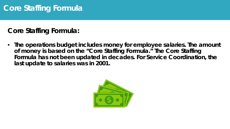## **Core Staffing Formula**

**Core Staffing Formula:**

• **The operations budget includes money for employee salaries. The amount of money is based on the "Core Staffing Formula." The Core Staffing Formula has not been updated in decades. For Service Coordination, the last update to salaries was in 2001.**

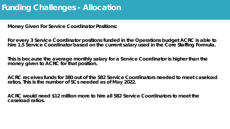### **Funding Challenges - Allocation**

**Money Given For Service Coordinator Positions:**

**For every 3 Service Coordinator positions funded in the Operations budget ACRC is able to** hire 1.5 Service Coordinator based on the current salary used in the Core Staffing Formula.

**This is because the average monthly salary for a Service Coordinator is higher than the money given to ACRC for that position.**

**ACRC receives funds for 380 out of the 582 Service Coordinators needed to meet caseload ratios. This is the number of SCs needed as of May 2022.**

**ACRC would need \$12 million more to hire all 582 Service Coordinators to meet the caseload ratios.**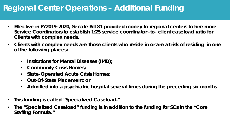## **Regional Center Operations – Additional Funding**

- **Effective in FY2019-2020, Senate Bill 81 provided money to regional centers to hire more Service Coordinators to establish 1:25 service coordinator -to- client caseload ratio for Clients with complex needs.**
- **Clients with complex needs are those clients who reside in or are at risk of residing in one of the following places:**
	- **Institutions for Mental Diseases (IMD);**
	- **Community Crisis Homes;**
	- **State-Operated Acute Crisis Homes;**
	- **Out-Of-State Placement; or**
	- **Admitted into a psychiatric hospital several times during the preceding six months**
- **This funding is called "Specialized Caseload."**
- **The "Specialized Caseload" funding is in addition to the funding for SCs in the "Core Staffing Formula."**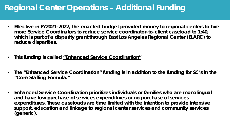## **Regional Center Operations – Additional Funding**

- **Effective in FY2021-2022, the enacted budget provided money to regional centers to hire more Service Coordinators to reduce service coordinator-to-client caseload to 1:40, which is part of a disparity grant through East Los Angeles Regional Center (ELARC) to reduce disparities.**
- **This funding is called "Enhanced Service Coordination"**
- **The "Enhanced Service Coordination" funding is in addition to the funding for SC's in the "Core Staffing Formula."**
- **Enhanced Service Coordination prioritizes individuals or families who are monolingual and have low purchase of services expenditures or no purchase of services expenditures. These caseloads are time limited with the intention to provide intensive support, education and linkage to regional center services and community services (generic).**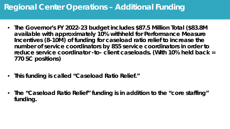## **Regional Center Operations – Additional Funding**

- **The Governor's FY 2022-23 budget includes \$87.5 Million Total (\$83.8M available with approximately 10% withheld for Performance Measure Incentives (8-10M) of funding for caseload ratio relief to increase the number of service coordinators by 855 service coordinators in order to reduce service coordinator -to- client caseloads. (With 10% held back = 770 SC positions)**
- **This funding is called "Caseload Ratio Relief."**
- **The "Caseload Ratio Relief" funding is in addition to the "core staffing" funding.**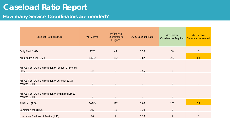## **Caseload Ratio Report**

#### **How many Service Coordinators are needed?**

| <b>Caseload Ratio Measure</b>                                                                                                  | # of Clients            | # of Service<br>Coordinators<br>Assigned | <b>ACRC Caseload Ratio</b> | # of Service<br><b>Coordinators Required</b> | # of Service<br><b>Coordinators Needed</b> |
|--------------------------------------------------------------------------------------------------------------------------------|-------------------------|------------------------------------------|----------------------------|----------------------------------------------|--------------------------------------------|
| Early Start (1:62)                                                                                                             | 2376                    | 44                                       | 1:55                       | 38                                           | $\overline{0}$                             |
| Medicaid Waiver (1:62)                                                                                                         | 13982                   | 162                                      | 1:87                       | 226                                          | 64                                         |
| Moved from DC in the community for over 24 months<br>(1:62)<br>Moved from DC in the community between 12-24<br>months $(1:45)$ | 125<br>$\boldsymbol{0}$ | $\mathfrak{Z}$<br>$\overline{0}$         | 1:55<br>$\boldsymbol{0}$   | $\overline{2}$<br>$\overline{0}$             | $\overline{0}$<br>$\overline{0}$           |
| Moved from DC in the community within the last 12<br>months $(1:45)$                                                           | $\mathbf 0$             | $\mathbf 0$                              | $\overline{0}$             | $\overline{0}$                               | $\overline{0}$                             |
| All Others (1:66)                                                                                                              | 10245                   | 117                                      | 1:88                       | 155                                          | 38                                         |
| Complex Needs (1:25)                                                                                                           | 217                     | 10                                       | 1:23                       | $\boldsymbol{9}$                             | $\overline{0}$                             |
| Low or No Purchase of Service (1:40)                                                                                           | 26                      | $\overline{2}$                           | 1:13                       |                                              | $\overline{0}$                             |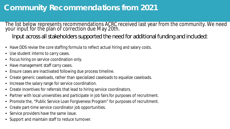## **Community Recommendations from 2021**

The list below represents recommendations ACRC received last year from the community. We need your input for the plan of correction due May 20th.

Input across all stakeholders supported the need for additional funding and included:

- Have DDS revise the core staffing formula to reflect actual hiring and salary costs.
- Use student interns to carry cases.
- Focus hiring on service coordination only.
- Have management staff carry cases.
- Ensure cases are inactivated following due process timeline.
- Create generic caseloads, rather than specialized caseloads to equalize caseloads.
- Increase the salary range for service coordination.
- Create incentives for referrals that lead to hiring service coordinators.
- Partner with local universities and participate in job fairs for purposes of recruitment.
- Promote the, "Public Service Loan Forgiveness Program" for purposes of recruitment.
- Create part-time service coordinator job opportunities.
- Service providers have the same issue.
- Support and maintain staff to reduce turnover.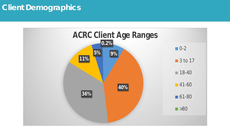## **Client Demographics**

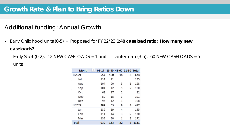Additional funding: Annual Growth

• Early Childhood units (0-5) = Proposed for FY 22/23 **1:40 caseload ratio: How many new caseloads?**

Early Start  $(0-2)$ : 12 NEW CASELOADS = 1 unit Lanterman  $(3-5)$ : 60 NEW CASELOADS = 5 units

| <b>Month</b> | 03-17 18-40 41-60 61-80 Total |     |                |   |      |
|--------------|-------------------------------|-----|----------------|---|------|
| $\Box$ 2021  | 557                           | 100 | 14             | 3 | 674  |
| Jul          | 114                           | 21  |                |   | 135  |
| Aug          | 104                           | 20  | 3              | 1 | 128  |
| Sep          | 101                           | 12  | 5              | 2 | 120  |
| Oct          | 63                            | 17  | $\overline{2}$ |   | 82   |
| Nov          | 80                            | 18  | 3              |   | 101  |
| Dec          | 95                            | 12  | 1              |   | 108  |
| $\Box$ 2022  | 382                           | 63  | 8              | 4 | 457  |
| Jan          | 132                           | 19  | 4              |   | 155  |
| Feb          | 111                           | 14  | 3              | 2 | 130  |
| Mar          | 139                           | 30  | 1              | 2 | 172  |
| <b>Total</b> | 939                           | 163 | 22             | 7 | 1131 |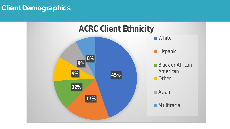### **Client Demographics**

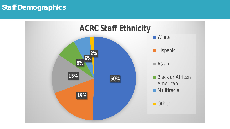### **Staff Demographics**

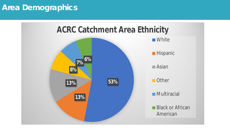### **Area Demographics**

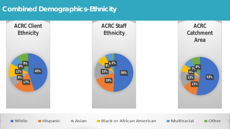### **Combined Demographics-Ethnicity**

■ White

 $\blacksquare$  Hispanic

 $\blacksquare$  Asian





 $\blacksquare$  Multiracial

 $\blacksquare$  Other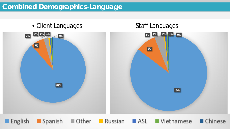### **Combined Demographics-Language**



Russian ASL Vietnamese Chinese  $\blacksquare$  English Spanish Other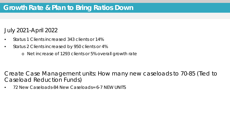### July 2021-April 2022

- Status 1 Clients increased 343 clients or 14%
- Status 2 Clients increased by 950 clients or 4%
	- o Net increase of 1293 clients or 5% overall growth rate

Create Case Management units: How many new caseloads to 70-85 (Tied to Caseload Reduction Funds)

• 72 New Caseloads-84 New Caseloads= 6-7 NEW UNITS